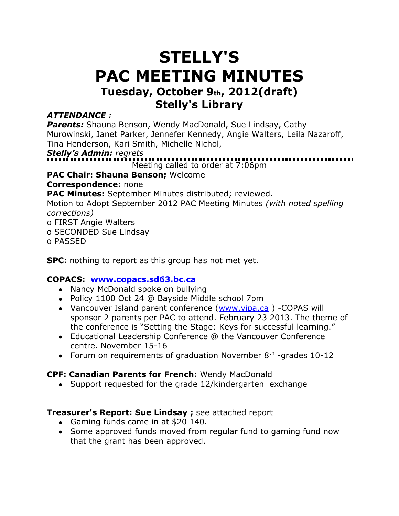# **STELLY'S PAC MEETING MINUTES Tuesday, October 9th, 2012(draft) Stelly's Library**

### *ATTENDANCE :*

**Parents:** Shauna Benson, Wendy MacDonald, Sue Lindsay, Cathy Murowinski, Janet Parker, Jennefer Kennedy, Angie Walters, Leila Nazaroff, Tina Henderson, Kari Smith, Michelle Nichol,

*Stelly's Admin: regrets* 

Meeting called to order at 7:06pm

**PAC Chair: Shauna Benson;** Welcome

**Correspondence:** none

**PAC Minutes:** September Minutes distributed; reviewed.

Motion to Adopt September 2012 PAC Meeting Minutes *(with noted spelling corrections)*

o FIRST Angie Walters

o SECONDED Sue Lindsay

o PASSED

**SPC:** nothing to report as this group has not met yet.

# **COPACS: [www.copacs.sd63.bc.ca](http://www.copacs.sd63.bc.ca/)**

- Nancy McDonald spoke on bullying
- Policy 1100 Oct 24 @ Bayside Middle school 7pm
- Vancouver Island parent conference [\(www.vipa.ca](http://www.vipa.ca/) ) -COPAS will sponsor 2 parents per PAC to attend. February 23 2013. The theme of the conference is "Setting the Stage: Keys for successful learning."
- Educational Leadership Conference @ the Vancouver Conference centre. November 15-16
- Forum on requirements of graduation November  $8<sup>th</sup>$  -grades 10-12

# **CPF: Canadian Parents for French:** Wendy MacDonald

Support requested for the grade 12/kindergarten exchange

# **Treasurer's Report: Sue Lindsay ;** see attached report

- Gaming funds came in at \$20 140.
- Some approved funds moved from regular fund to gaming fund now that the grant has been approved.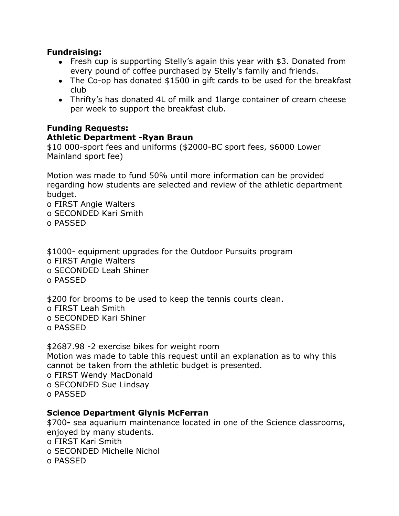#### **Fundraising:**

- Fresh cup is supporting Stelly's again this year with \$3. Donated from every pound of coffee purchased by Stelly's family and friends.
- The Co-op has donated \$1500 in gift cards to be used for the breakfast club
- Thrifty's has donated 4L of milk and 1large container of cream cheese per week to support the breakfast club.

# **Funding Requests:**

#### **Athletic Department -Ryan Braun**

\$10 000-sport fees and uniforms (\$2000-BC sport fees, \$6000 Lower Mainland sport fee)

Motion was made to fund 50% until more information can be provided regarding how students are selected and review of the athletic department budget.

o FIRST Angie Walters o SECONDED Kari Smith o PASSED

\$1000- equipment upgrades for the Outdoor Pursuits program o FIRST Angie Walters o SECONDED Leah Shiner

o PASSED

\$200 for brooms to be used to keep the tennis courts clean. o FIRST Leah Smith o SECONDED Kari Shiner o PASSED

\$2687.98 -2 exercise bikes for weight room Motion was made to table this request until an explanation as to why this cannot be taken from the athletic budget is presented. o FIRST Wendy MacDonald

o SECONDED Sue Lindsay

o PASSED

#### **Science Department Glynis McFerran**

\$700**-** sea aquarium maintenance located in one of the Science classrooms, enjoyed by many students.

o FIRST Kari Smith

o SECONDED Michelle Nichol

o PASSED